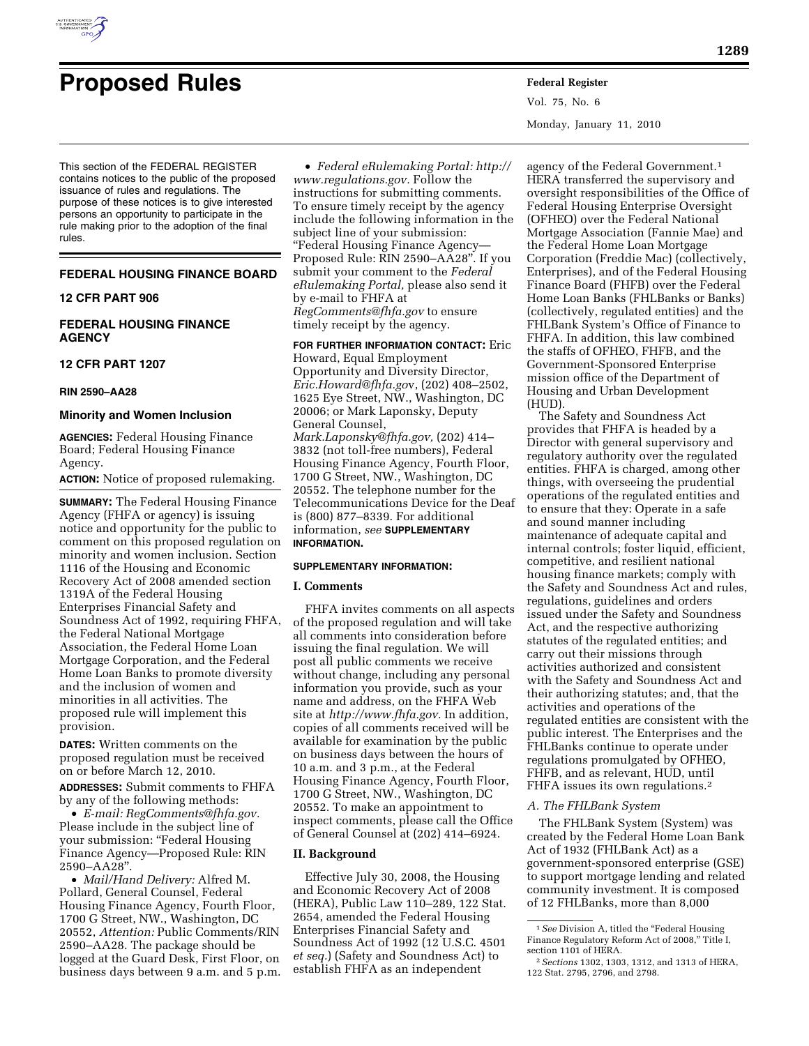

# **Proposed Rules Federal Register**

Vol. 75, No. 6 Monday, January 11, 2010

This section of the FEDERAL REGISTER contains notices to the public of the proposed issuance of rules and regulations. The purpose of these notices is to give interested persons an opportunity to participate in the rule making prior to the adoption of the final rules.

## **FEDERAL HOUSING FINANCE BOARD**

## **12 CFR PART 906**

## **FEDERAL HOUSING FINANCE AGENCY**

#### **12 CFR PART 1207**

#### **RIN 2590–AA28**

#### **Minority and Women Inclusion**

**AGENCIES:** Federal Housing Finance Board; Federal Housing Finance Agency.

**ACTION:** Notice of proposed rulemaking.

**SUMMARY:** The Federal Housing Finance Agency (FHFA or agency) is issuing notice and opportunity for the public to comment on this proposed regulation on minority and women inclusion. Section 1116 of the Housing and Economic Recovery Act of 2008 amended section 1319A of the Federal Housing Enterprises Financial Safety and Soundness Act of 1992, requiring FHFA, the Federal National Mortgage Association, the Federal Home Loan Mortgage Corporation, and the Federal Home Loan Banks to promote diversity and the inclusion of women and minorities in all activities. The proposed rule will implement this provision.

**DATES:** Written comments on the proposed regulation must be received on or before March 12, 2010.

**ADDRESSES:** Submit comments to FHFA by any of the following methods:

• *E-mail: RegComments@fhfa.gov.*  Please include in the subject line of your submission: ''Federal Housing Finance Agency—Proposed Rule: RIN 2590–AA28''.

• *Mail/Hand Delivery:* Alfred M. Pollard, General Counsel, Federal Housing Finance Agency, Fourth Floor, 1700 G Street, NW., Washington, DC 20552, *Attention:* Public Comments/RIN 2590–AA28. The package should be logged at the Guard Desk, First Floor, on business days between 9 a.m. and 5 p.m.

• *Federal eRulemaking Portal: http:// www.regulations.gov.* Follow the instructions for submitting comments. To ensure timely receipt by the agency include the following information in the subject line of your submission: ''Federal Housing Finance Agency— Proposed Rule: RIN 2590–AA28''. If you submit your comment to the *Federal eRulemaking Portal,* please also send it by e-mail to FHFA at *RegComments@fhfa.gov* to ensure timely receipt by the agency.

**FOR FURTHER INFORMATION CONTACT:** Eric Howard, Equal Employment Opportunity and Diversity Director, *Eric.Howard@fhfa.go*v, (202) 408–2502, 1625 Eye Street, NW., Washington, DC 20006; or Mark Laponsky, Deputy General Counsel, *Mark.Laponsky@fhfa.gov,* (202) 414– 3832 (not toll-free numbers), Federal Housing Finance Agency, Fourth Floor, 1700 G Street, NW., Washington, DC 20552. The telephone number for the Telecommunications Device for the Deaf is (800) 877–8339. For additional information, *see* **SUPPLEMENTARY INFORMATION.** 

## **SUPPLEMENTARY INFORMATION:**

#### **I. Comments**

FHFA invites comments on all aspects of the proposed regulation and will take all comments into consideration before issuing the final regulation. We will post all public comments we receive without change, including any personal information you provide, such as your name and address, on the FHFA Web site at *http://www.fhfa.gov.* In addition, copies of all comments received will be available for examination by the public on business days between the hours of 10 a.m. and 3 p.m., at the Federal Housing Finance Agency, Fourth Floor, 1700 G Street, NW., Washington, DC 20552. To make an appointment to inspect comments, please call the Office of General Counsel at (202) 414–6924.

#### **II. Background**

Effective July 30, 2008, the Housing and Economic Recovery Act of 2008 (HERA), Public Law 110–289, 122 Stat. 2654, amended the Federal Housing Enterprises Financial Safety and Soundness Act of 1992 (12 U.S.C. 4501 *et seq.*) (Safety and Soundness Act) to establish FHFA as an independent

agency of the Federal Government.1 HERA transferred the supervisory and oversight responsibilities of the Office of Federal Housing Enterprise Oversight (OFHEO) over the Federal National Mortgage Association (Fannie Mae) and the Federal Home Loan Mortgage Corporation (Freddie Mac) (collectively, Enterprises), and of the Federal Housing Finance Board (FHFB) over the Federal Home Loan Banks (FHLBanks or Banks) (collectively, regulated entities) and the FHLBank System's Office of Finance to FHFA. In addition, this law combined the staffs of OFHEO, FHFB, and the Government-Sponsored Enterprise mission office of the Department of Housing and Urban Development (HUD).

The Safety and Soundness Act provides that FHFA is headed by a Director with general supervisory and regulatory authority over the regulated entities. FHFA is charged, among other things, with overseeing the prudential operations of the regulated entities and to ensure that they: Operate in a safe and sound manner including maintenance of adequate capital and internal controls; foster liquid, efficient, competitive, and resilient national housing finance markets; comply with the Safety and Soundness Act and rules, regulations, guidelines and orders issued under the Safety and Soundness Act, and the respective authorizing statutes of the regulated entities; and carry out their missions through activities authorized and consistent with the Safety and Soundness Act and their authorizing statutes; and, that the activities and operations of the regulated entities are consistent with the public interest. The Enterprises and the FHLBanks continue to operate under regulations promulgated by OFHEO, FHFB, and as relevant, HUD, until FHFA issues its own regulations.2

#### *A. The FHLBank System*

The FHLBank System (System) was created by the Federal Home Loan Bank Act of 1932 (FHLBank Act) as a government-sponsored enterprise (GSE) to support mortgage lending and related community investment. It is composed of 12 FHLBanks, more than 8,000

<sup>&</sup>lt;sup>1</sup> See Division A, titled the "Federal Housing Finance Regulatory Reform Act of 2008,'' Title I, section 1101 of HERA.

<sup>2</sup>*Sections* 1302, 1303, 1312, and 1313 of HERA, 122 Stat. 2795, 2796, and 2798.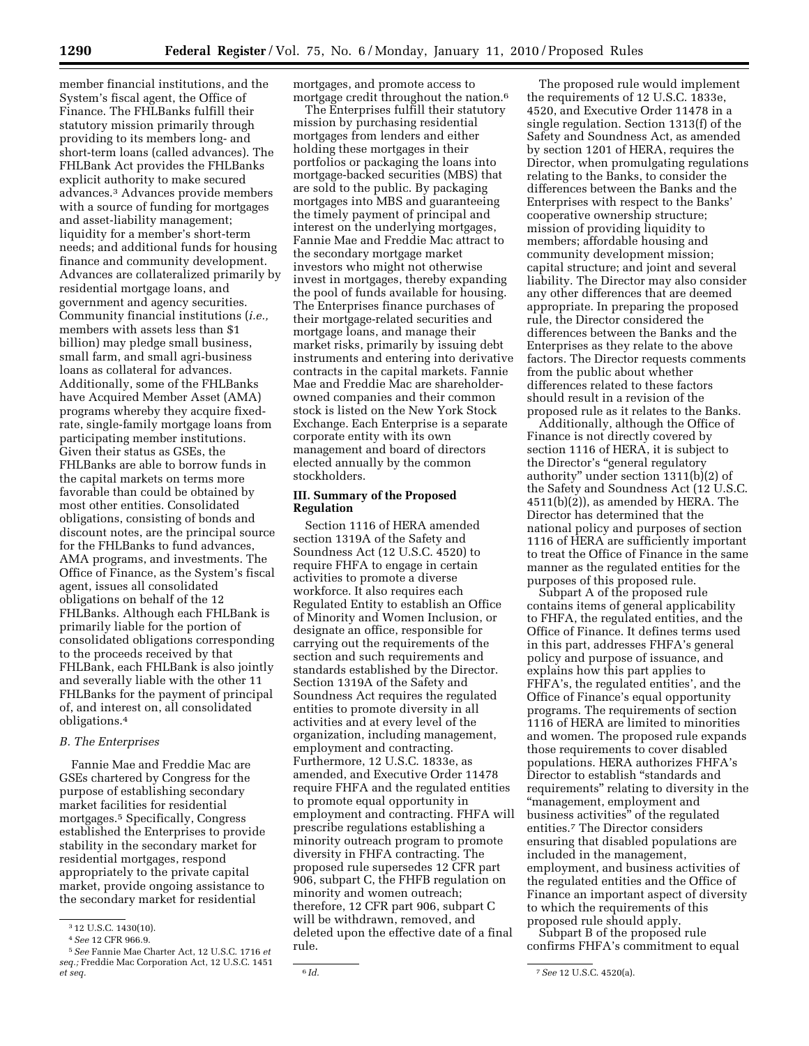member financial institutions, and the System's fiscal agent, the Office of Finance. The FHLBanks fulfill their statutory mission primarily through providing to its members long- and short-term loans (called advances). The FHLBank Act provides the FHLBanks explicit authority to make secured advances.3 Advances provide members with a source of funding for mortgages and asset-liability management; liquidity for a member's short-term needs; and additional funds for housing finance and community development. Advances are collateralized primarily by residential mortgage loans, and government and agency securities. Community financial institutions (*i.e.,*  members with assets less than \$1 billion) may pledge small business, small farm, and small agri-business loans as collateral for advances. Additionally, some of the FHLBanks have Acquired Member Asset (AMA) programs whereby they acquire fixedrate, single-family mortgage loans from participating member institutions. Given their status as GSEs, the FHLBanks are able to borrow funds in the capital markets on terms more favorable than could be obtained by most other entities. Consolidated obligations, consisting of bonds and discount notes, are the principal source for the FHLBanks to fund advances, AMA programs, and investments. The Office of Finance, as the System's fiscal agent, issues all consolidated obligations on behalf of the 12 FHLBanks. Although each FHLBank is primarily liable for the portion of consolidated obligations corresponding to the proceeds received by that FHLBank, each FHLBank is also jointly and severally liable with the other 11 FHLBanks for the payment of principal of, and interest on, all consolidated obligations.4

# *B. The Enterprises*

Fannie Mae and Freddie Mac are GSEs chartered by Congress for the purpose of establishing secondary market facilities for residential mortgages.5 Specifically, Congress established the Enterprises to provide stability in the secondary market for residential mortgages, respond appropriately to the private capital market, provide ongoing assistance to the secondary market for residential

mortgages, and promote access to mortgage credit throughout the nation.6

The Enterprises fulfill their statutory mission by purchasing residential mortgages from lenders and either holding these mortgages in their portfolios or packaging the loans into mortgage-backed securities (MBS) that are sold to the public. By packaging mortgages into MBS and guaranteeing the timely payment of principal and interest on the underlying mortgages, Fannie Mae and Freddie Mac attract to the secondary mortgage market investors who might not otherwise invest in mortgages, thereby expanding the pool of funds available for housing. The Enterprises finance purchases of their mortgage-related securities and mortgage loans, and manage their market risks, primarily by issuing debt instruments and entering into derivative contracts in the capital markets. Fannie Mae and Freddie Mac are shareholderowned companies and their common stock is listed on the New York Stock Exchange. Each Enterprise is a separate corporate entity with its own management and board of directors elected annually by the common stockholders.

## **III. Summary of the Proposed Regulation**

Section 1116 of HERA amended section 1319A of the Safety and Soundness Act (12 U.S.C. 4520) to require FHFA to engage in certain activities to promote a diverse workforce. It also requires each Regulated Entity to establish an Office of Minority and Women Inclusion, or designate an office, responsible for carrying out the requirements of the section and such requirements and standards established by the Director. Section 1319A of the Safety and Soundness Act requires the regulated entities to promote diversity in all activities and at every level of the organization, including management, employment and contracting. Furthermore, 12 U.S.C. 1833e, as amended, and Executive Order 11478 require FHFA and the regulated entities to promote equal opportunity in employment and contracting. FHFA will prescribe regulations establishing a minority outreach program to promote diversity in FHFA contracting. The proposed rule supersedes 12 CFR part 906, subpart C, the FHFB regulation on minority and women outreach; therefore, 12 CFR part 906, subpart C will be withdrawn, removed, and deleted upon the effective date of a final rule.

The proposed rule would implement the requirements of 12 U.S.C. 1833e, 4520, and Executive Order 11478 in a single regulation. Section 1313(f) of the Safety and Soundness Act, as amended by section 1201 of HERA, requires the Director, when promulgating regulations relating to the Banks, to consider the differences between the Banks and the Enterprises with respect to the Banks' cooperative ownership structure; mission of providing liquidity to members; affordable housing and community development mission; capital structure; and joint and several liability. The Director may also consider any other differences that are deemed appropriate. In preparing the proposed rule, the Director considered the differences between the Banks and the Enterprises as they relate to the above factors. The Director requests comments from the public about whether differences related to these factors should result in a revision of the proposed rule as it relates to the Banks.

Additionally, although the Office of Finance is not directly covered by section 1116 of HERA, it is subject to the Director's ''general regulatory authority'' under section 1311(b)(2) of the Safety and Soundness Act (12 U.S.C. 4511(b)(2)), as amended by HERA. The Director has determined that the national policy and purposes of section 1116 of HERA are sufficiently important to treat the Office of Finance in the same manner as the regulated entities for the purposes of this proposed rule.

Subpart A of the proposed rule contains items of general applicability to FHFA, the regulated entities, and the Office of Finance. It defines terms used in this part, addresses FHFA's general policy and purpose of issuance, and explains how this part applies to FHFA's, the regulated entities', and the Office of Finance's equal opportunity programs. The requirements of section 1116 of HERA are limited to minorities and women. The proposed rule expands those requirements to cover disabled populations. HERA authorizes FHFA's Director to establish ''standards and requirements'' relating to diversity in the ''management, employment and business activities'' of the regulated entities.7 The Director considers ensuring that disabled populations are included in the management, employment, and business activities of the regulated entities and the Office of Finance an important aspect of diversity to which the requirements of this proposed rule should apply.

Subpart B of the proposed rule confirms FHFA's commitment to equal

<sup>3</sup> 12 U.S.C. 1430(10).

<sup>4</sup>*See* 12 CFR 966.9.

<sup>5</sup>*See* Fannie Mae Charter Act, 12 U.S.C. 1716 *et seq.;* Freddie Mac Corporation Act, 12 U.S.C. 1451 *et seq.* 6 *Id.* 7*See* 12 U.S.C. 4520(a).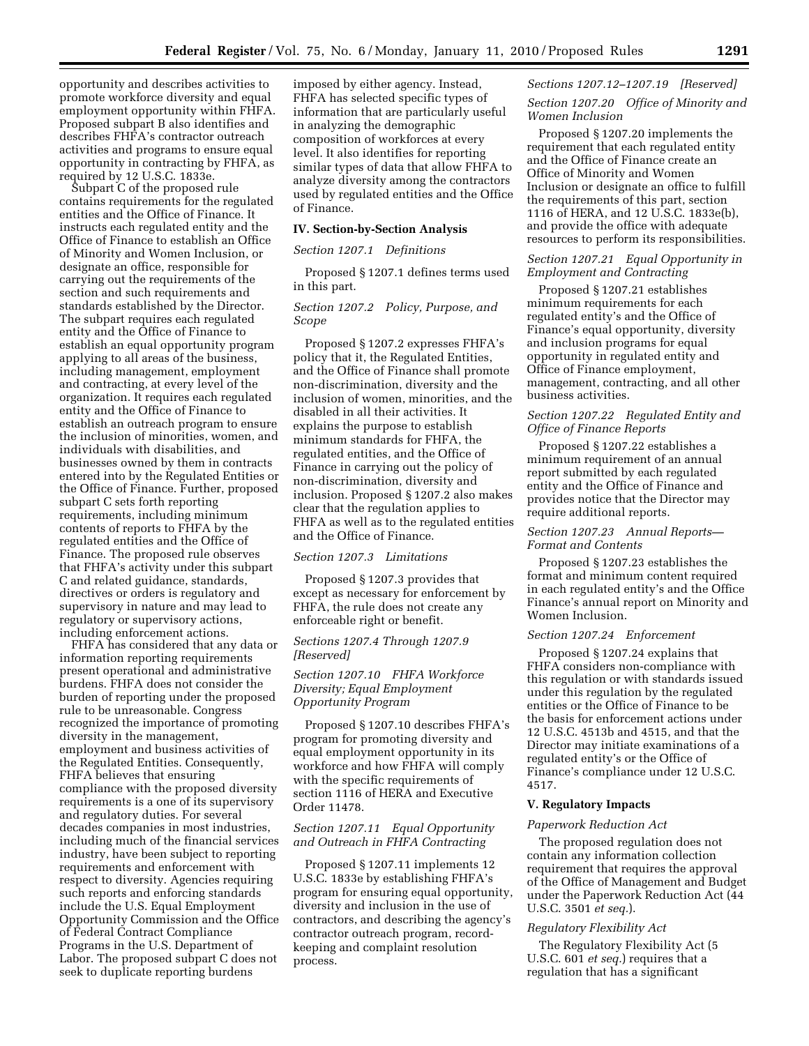opportunity and describes activities to promote workforce diversity and equal employment opportunity within FHFA. Proposed subpart B also identifies and describes FHFA's contractor outreach activities and programs to ensure equal opportunity in contracting by FHFA, as required by 12 U.S.C. 1833e.

Subpart C of the proposed rule contains requirements for the regulated entities and the Office of Finance. It instructs each regulated entity and the Office of Finance to establish an Office of Minority and Women Inclusion, or designate an office, responsible for carrying out the requirements of the section and such requirements and standards established by the Director. The subpart requires each regulated entity and the Office of Finance to establish an equal opportunity program applying to all areas of the business, including management, employment and contracting, at every level of the organization. It requires each regulated entity and the Office of Finance to establish an outreach program to ensure the inclusion of minorities, women, and individuals with disabilities, and businesses owned by them in contracts entered into by the Regulated Entities or the Office of Finance. Further, proposed subpart C sets forth reporting requirements, including minimum contents of reports to FHFA by the regulated entities and the Office of Finance. The proposed rule observes that FHFA's activity under this subpart C and related guidance, standards, directives or orders is regulatory and supervisory in nature and may lead to regulatory or supervisory actions, including enforcement actions.

FHFA has considered that any data or information reporting requirements present operational and administrative burdens. FHFA does not consider the burden of reporting under the proposed rule to be unreasonable. Congress recognized the importance of promoting diversity in the management, employment and business activities of the Regulated Entities. Consequently, FHFA believes that ensuring compliance with the proposed diversity requirements is a one of its supervisory and regulatory duties. For several decades companies in most industries, including much of the financial services industry, have been subject to reporting requirements and enforcement with respect to diversity. Agencies requiring such reports and enforcing standards include the U.S. Equal Employment Opportunity Commission and the Office of Federal Contract Compliance Programs in the U.S. Department of Labor. The proposed subpart C does not seek to duplicate reporting burdens

imposed by either agency. Instead, FHFA has selected specific types of information that are particularly useful in analyzing the demographic composition of workforces at every level. It also identifies for reporting similar types of data that allow FHFA to analyze diversity among the contractors used by regulated entities and the Office of Finance.

#### **IV. Section-by-Section Analysis**

#### *Section 1207.1 Definitions*

Proposed § 1207.1 defines terms used in this part.

# *Section 1207.2 Policy, Purpose, and Scope*

Proposed § 1207.2 expresses FHFA's policy that it, the Regulated Entities, and the Office of Finance shall promote non-discrimination, diversity and the inclusion of women, minorities, and the disabled in all their activities. It explains the purpose to establish minimum standards for FHFA, the regulated entities, and the Office of Finance in carrying out the policy of non-discrimination, diversity and inclusion. Proposed § 1207.2 also makes clear that the regulation applies to FHFA as well as to the regulated entities and the Office of Finance.

### *Section 1207.3 Limitations*

Proposed § 1207.3 provides that except as necessary for enforcement by FHFA, the rule does not create any enforceable right or benefit.

#### *Sections 1207.4 Through 1207.9 [Reserved]*

# *Section 1207.10 FHFA Workforce Diversity; Equal Employment Opportunity Program*

Proposed § 1207.10 describes FHFA's program for promoting diversity and equal employment opportunity in its workforce and how FHFA will comply with the specific requirements of section 1116 of HERA and Executive Order 11478.

# *Section 1207.11 Equal Opportunity and Outreach in FHFA Contracting*

Proposed § 1207.11 implements 12 U.S.C. 1833e by establishing FHFA's program for ensuring equal opportunity, diversity and inclusion in the use of contractors, and describing the agency's contractor outreach program, recordkeeping and complaint resolution process.

#### *Sections 1207.12–1207.19 [Reserved]*

#### *Section 1207.20 Office of Minority and Women Inclusion*

Proposed § 1207.20 implements the requirement that each regulated entity and the Office of Finance create an Office of Minority and Women Inclusion or designate an office to fulfill the requirements of this part, section 1116 of HERA, and 12 U.S.C. 1833e(b), and provide the office with adequate resources to perform its responsibilities.

## *Section 1207.21 Equal Opportunity in Employment and Contracting*

Proposed § 1207.21 establishes minimum requirements for each regulated entity's and the Office of Finance's equal opportunity, diversity and inclusion programs for equal opportunity in regulated entity and Office of Finance employment, management, contracting, and all other business activities.

## *Section 1207.22 Regulated Entity and Office of Finance Reports*

Proposed § 1207.22 establishes a minimum requirement of an annual report submitted by each regulated entity and the Office of Finance and provides notice that the Director may require additional reports.

#### *Section 1207.23 Annual Reports— Format and Contents*

Proposed § 1207.23 establishes the format and minimum content required in each regulated entity's and the Office Finance's annual report on Minority and Women Inclusion.

#### *Section 1207.24 Enforcement*

Proposed § 1207.24 explains that FHFA considers non-compliance with this regulation or with standards issued under this regulation by the regulated entities or the Office of Finance to be the basis for enforcement actions under 12 U.S.C. 4513b and 4515, and that the Director may initiate examinations of a regulated entity's or the Office of Finance's compliance under 12 U.S.C. 4517.

## **V. Regulatory Impacts**

#### *Paperwork Reduction Act*

The proposed regulation does not contain any information collection requirement that requires the approval of the Office of Management and Budget under the Paperwork Reduction Act (44 U.S.C. 3501 *et seq.*).

#### *Regulatory Flexibility Act*

The Regulatory Flexibility Act (5 U.S.C. 601 *et seq.*) requires that a regulation that has a significant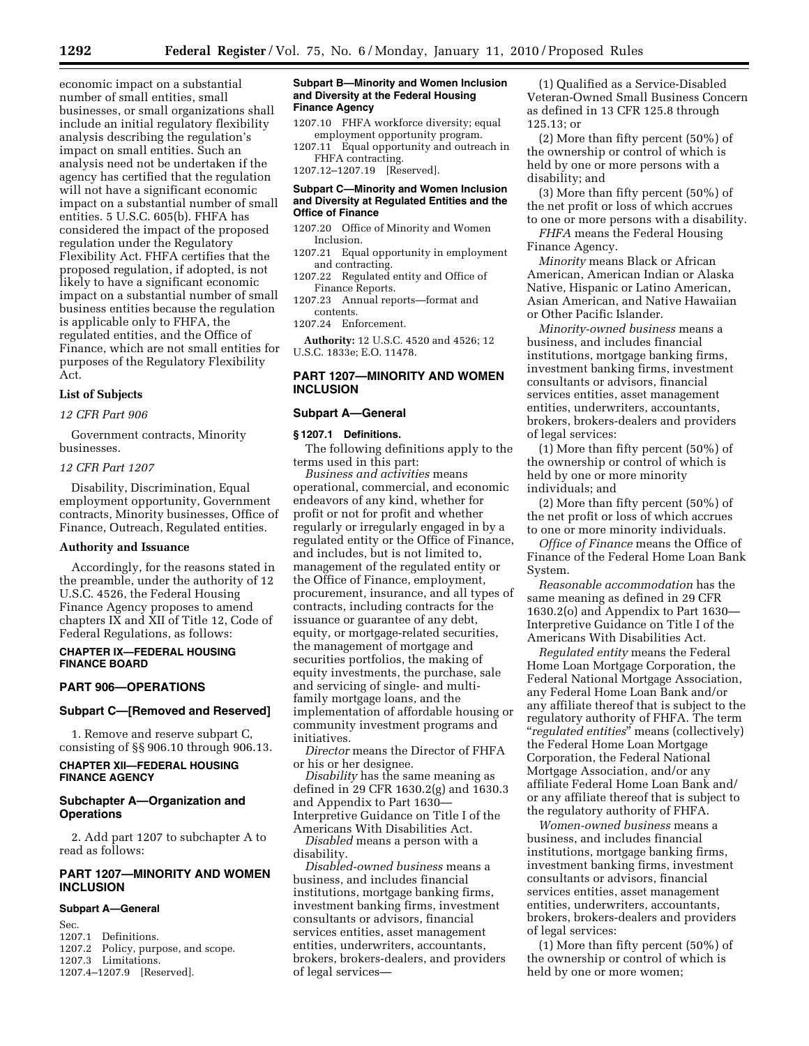economic impact on a substantial number of small entities, small businesses, or small organizations shall include an initial regulatory flexibility analysis describing the regulation's impact on small entities. Such an analysis need not be undertaken if the agency has certified that the regulation will not have a significant economic impact on a substantial number of small entities. 5 U.S.C. 605(b). FHFA has considered the impact of the proposed regulation under the Regulatory Flexibility Act. FHFA certifies that the proposed regulation, if adopted, is not likely to have a significant economic impact on a substantial number of small business entities because the regulation is applicable only to FHFA, the regulated entities, and the Office of Finance, which are not small entities for purposes of the Regulatory Flexibility Act.

## **List of Subjects**

*12 CFR Part 906* 

Government contracts, Minority businesses.

#### *12 CFR Part 1207*

Disability, Discrimination, Equal employment opportunity, Government contracts, Minority businesses, Office of Finance, Outreach, Regulated entities.

## **Authority and Issuance**

Accordingly, for the reasons stated in the preamble, under the authority of 12 U.S.C. 4526, the Federal Housing Finance Agency proposes to amend chapters IX and XII of Title 12, Code of Federal Regulations, as follows:

## **CHAPTER IX—FEDERAL HOUSING FINANCE BOARD**

### **PART 906—OPERATIONS**

#### **Subpart C—[Removed and Reserved]**

1. Remove and reserve subpart C, consisting of §§ 906.10 through 906.13.

# **CHAPTER XII—FEDERAL HOUSING FINANCE AGENCY**

## **Subchapter A—Organization and Operations**

2. Add part 1207 to subchapter A to read as follows:

## **PART 1207—MINORITY AND WOMEN INCLUSION**

#### **Subpart A—General**

Sec. 1207.1 Definitions. 1207.2 Policy, purpose, and scope. 1207.3 Limitations. 1207.4–1207.9 [Reserved].

#### **Subpart B—Minority and Women Inclusion and Diversity at the Federal Housing Finance Agency**

- 1207.10 FHFA workforce diversity; equal employment opportunity program.
- 1207.11 Equal opportunity and outreach in FHFA contracting.

# 1207.12–1207.19 [Reserved].

## **Subpart C—Minority and Women Inclusion and Diversity at Regulated Entities and the Office of Finance**

- 1207.20 Office of Minority and Women Inclusion.
- 1207.21 Equal opportunity in employment and contracting.
- 1207.22 Regulated entity and Office of Finance Reports.
- 1207.23 Annual reports—format and contents.
- 1207.24 Enforcement.

**Authority:** 12 U.S.C. 4520 and 4526; 12 U.S.C. 1833e; E.O. 11478.

## **PART 1207—MINORITY AND WOMEN INCLUSION**

#### **Subpart A—General**

#### **§ 1207.1 Definitions.**

The following definitions apply to the terms used in this part:

*Business and activities* means operational, commercial, and economic endeavors of any kind, whether for profit or not for profit and whether regularly or irregularly engaged in by a regulated entity or the Office of Finance, and includes, but is not limited to, management of the regulated entity or the Office of Finance, employment, procurement, insurance, and all types of contracts, including contracts for the issuance or guarantee of any debt, equity, or mortgage-related securities, the management of mortgage and securities portfolios, the making of equity investments, the purchase, sale and servicing of single- and multifamily mortgage loans, and the implementation of affordable housing or community investment programs and initiatives.

*Director* means the Director of FHFA or his or her designee.

*Disability* has the same meaning as defined in 29 CFR 1630.2(g) and 1630.3 and Appendix to Part 1630— Interpretive Guidance on Title I of the Americans With Disabilities Act.

*Disabled* means a person with a disability.

*Disabled-owned business* means a business, and includes financial institutions, mortgage banking firms, investment banking firms, investment consultants or advisors, financial services entities, asset management entities, underwriters, accountants, brokers, brokers-dealers, and providers of legal services—

(1) Qualified as a Service-Disabled Veteran-Owned Small Business Concern as defined in 13 CFR 125.8 through 125.13; or

(2) More than fifty percent (50%) of the ownership or control of which is held by one or more persons with a disability; and

(3) More than fifty percent (50%) of the net profit or loss of which accrues to one or more persons with a disability.

*FHFA* means the Federal Housing Finance Agency.

*Minority* means Black or African American, American Indian or Alaska Native, Hispanic or Latino American, Asian American, and Native Hawaiian or Other Pacific Islander.

*Minority-owned business* means a business, and includes financial institutions, mortgage banking firms, investment banking firms, investment consultants or advisors, financial services entities, asset management entities, underwriters, accountants, brokers, brokers-dealers and providers of legal services:

(1) More than fifty percent (50%) of the ownership or control of which is held by one or more minority individuals; and

(2) More than fifty percent (50%) of the net profit or loss of which accrues to one or more minority individuals.

*Office of Finance* means the Office of Finance of the Federal Home Loan Bank System.

*Reasonable accommodation* has the same meaning as defined in 29 CFR 1630.2(o) and Appendix to Part 1630— Interpretive Guidance on Title I of the Americans With Disabilities Act.

*Regulated entity* means the Federal Home Loan Mortgage Corporation, the Federal National Mortgage Association, any Federal Home Loan Bank and/or any affiliate thereof that is subject to the regulatory authority of FHFA. The term ''*regulated entities*'' means (collectively) the Federal Home Loan Mortgage Corporation, the Federal National Mortgage Association, and/or any affiliate Federal Home Loan Bank and/ or any affiliate thereof that is subject to the regulatory authority of FHFA.

*Women-owned business* means a business, and includes financial institutions, mortgage banking firms, investment banking firms, investment consultants or advisors, financial services entities, asset management entities, underwriters, accountants, brokers, brokers-dealers and providers of legal services:

(1) More than fifty percent (50%) of the ownership or control of which is held by one or more women;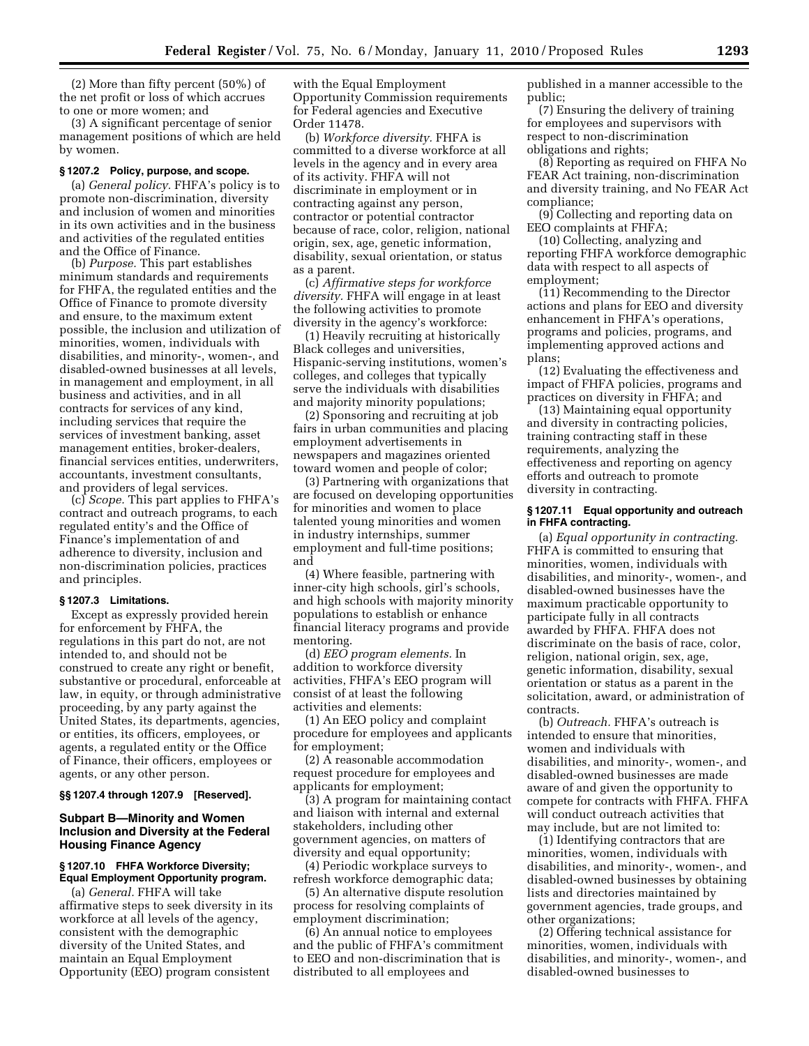(2) More than fifty percent (50%) of the net profit or loss of which accrues to one or more women; and

(3) A significant percentage of senior management positions of which are held by women.

#### **§ 1207.2 Policy, purpose, and scope.**

(a) *General policy.* FHFA's policy is to promote non-discrimination, diversity and inclusion of women and minorities in its own activities and in the business and activities of the regulated entities and the Office of Finance.

(b) *Purpose.* This part establishes minimum standards and requirements for FHFA, the regulated entities and the Office of Finance to promote diversity and ensure, to the maximum extent possible, the inclusion and utilization of minorities, women, individuals with disabilities, and minority-, women-, and disabled-owned businesses at all levels, in management and employment, in all business and activities, and in all contracts for services of any kind, including services that require the services of investment banking, asset management entities, broker-dealers, financial services entities, underwriters, accountants, investment consultants, and providers of legal services.

(c) *Scope.* This part applies to FHFA's contract and outreach programs, to each regulated entity's and the Office of Finance's implementation of and adherence to diversity, inclusion and non-discrimination policies, practices and principles.

#### **§ 1207.3 Limitations.**

Except as expressly provided herein for enforcement by FHFA, the regulations in this part do not, are not intended to, and should not be construed to create any right or benefit, substantive or procedural, enforceable at law, in equity, or through administrative proceeding, by any party against the United States, its departments, agencies, or entities, its officers, employees, or agents, a regulated entity or the Office of Finance, their officers, employees or agents, or any other person.

**§§ 1207.4 through 1207.9 [Reserved].** 

## **Subpart B—Minority and Women Inclusion and Diversity at the Federal Housing Finance Agency**

# **§ 1207.10 FHFA Workforce Diversity; Equal Employment Opportunity program.**

(a) *General.* FHFA will take affirmative steps to seek diversity in its workforce at all levels of the agency, consistent with the demographic diversity of the United States, and maintain an Equal Employment Opportunity (EEO) program consistent

with the Equal Employment Opportunity Commission requirements for Federal agencies and Executive Order 11478.

(b) *Workforce diversity.* FHFA is committed to a diverse workforce at all levels in the agency and in every area of its activity. FHFA will not discriminate in employment or in contracting against any person, contractor or potential contractor because of race, color, religion, national origin, sex, age, genetic information, disability, sexual orientation, or status as a parent.

(c) *Affirmative steps for workforce diversity.* FHFA will engage in at least the following activities to promote diversity in the agency's workforce:

(1) Heavily recruiting at historically Black colleges and universities, Hispanic-serving institutions, women's colleges, and colleges that typically serve the individuals with disabilities and majority minority populations;

(2) Sponsoring and recruiting at job fairs in urban communities and placing employment advertisements in newspapers and magazines oriented toward women and people of color;

(3) Partnering with organizations that are focused on developing opportunities for minorities and women to place talented young minorities and women in industry internships, summer employment and full-time positions; and

(4) Where feasible, partnering with inner-city high schools, girl's schools, and high schools with majority minority populations to establish or enhance financial literacy programs and provide mentoring.

(d) *EEO program elements.* In addition to workforce diversity activities, FHFA's EEO program will consist of at least the following activities and elements:

(1) An EEO policy and complaint procedure for employees and applicants for employment;

(2) A reasonable accommodation request procedure for employees and applicants for employment;

(3) A program for maintaining contact and liaison with internal and external stakeholders, including other government agencies, on matters of diversity and equal opportunity;

(4) Periodic workplace surveys to refresh workforce demographic data;

(5) An alternative dispute resolution process for resolving complaints of employment discrimination;

(6) An annual notice to employees and the public of FHFA's commitment to EEO and non-discrimination that is distributed to all employees and

published in a manner accessible to the public;

(7) Ensuring the delivery of training for employees and supervisors with respect to non-discrimination obligations and rights;

(8) Reporting as required on FHFA No FEAR Act training, non-discrimination and diversity training, and No FEAR Act compliance;

(9) Collecting and reporting data on EEO complaints at FHFA;

(10) Collecting, analyzing and reporting FHFA workforce demographic data with respect to all aspects of employment;

(11) Recommending to the Director actions and plans for EEO and diversity enhancement in FHFA's operations, programs and policies, programs, and implementing approved actions and plans;

(12) Evaluating the effectiveness and impact of FHFA policies, programs and practices on diversity in FHFA; and

(13) Maintaining equal opportunity and diversity in contracting policies, training contracting staff in these requirements, analyzing the effectiveness and reporting on agency efforts and outreach to promote diversity in contracting.

#### **§ 1207.11 Equal opportunity and outreach in FHFA contracting.**

(a) *Equal opportunity in contracting.*  FHFA is committed to ensuring that minorities, women, individuals with disabilities, and minority-, women-, and disabled-owned businesses have the maximum practicable opportunity to participate fully in all contracts awarded by FHFA. FHFA does not discriminate on the basis of race, color, religion, national origin, sex, age, genetic information, disability, sexual orientation or status as a parent in the solicitation, award, or administration of contracts.

(b) *Outreach.* FHFA's outreach is intended to ensure that minorities, women and individuals with disabilities, and minority-, women-, and disabled-owned businesses are made aware of and given the opportunity to compete for contracts with FHFA. FHFA will conduct outreach activities that may include, but are not limited to:

(1) Identifying contractors that are minorities, women, individuals with disabilities, and minority-, women-, and disabled-owned businesses by obtaining lists and directories maintained by government agencies, trade groups, and other organizations;

(2) Offering technical assistance for minorities, women, individuals with disabilities, and minority-, women-, and disabled-owned businesses to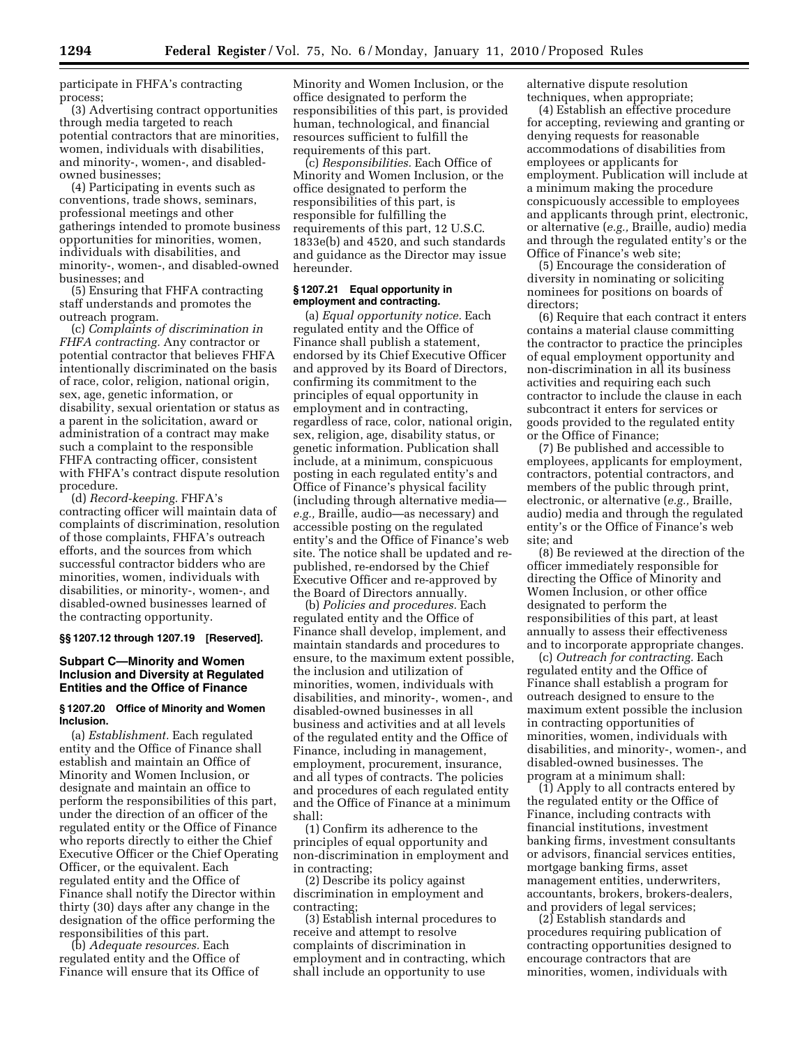participate in FHFA's contracting process;

(3) Advertising contract opportunities through media targeted to reach potential contractors that are minorities, women, individuals with disabilities, and minority-, women-, and disabledowned businesses;

(4) Participating in events such as conventions, trade shows, seminars, professional meetings and other gatherings intended to promote business opportunities for minorities, women, individuals with disabilities, and minority-, women-, and disabled-owned businesses; and

(5) Ensuring that FHFA contracting staff understands and promotes the outreach program.

(c) *Complaints of discrimination in FHFA contracting.* Any contractor or potential contractor that believes FHFA intentionally discriminated on the basis of race, color, religion, national origin, sex, age, genetic information, or disability, sexual orientation or status as a parent in the solicitation, award or administration of a contract may make such a complaint to the responsible FHFA contracting officer, consistent with FHFA's contract dispute resolution procedure.

(d) *Record-keeping.* FHFA's contracting officer will maintain data of complaints of discrimination, resolution of those complaints, FHFA's outreach efforts, and the sources from which successful contractor bidders who are minorities, women, individuals with disabilities, or minority-, women-, and disabled-owned businesses learned of the contracting opportunity.

**§§ 1207.12 through 1207.19 [Reserved].** 

## **Subpart C—Minority and Women Inclusion and Diversity at Regulated Entities and the Office of Finance**

#### **§ 1207.20 Office of Minority and Women Inclusion.**

(a) *Establishment.* Each regulated entity and the Office of Finance shall establish and maintain an Office of Minority and Women Inclusion, or designate and maintain an office to perform the responsibilities of this part, under the direction of an officer of the regulated entity or the Office of Finance who reports directly to either the Chief Executive Officer or the Chief Operating Officer, or the equivalent. Each regulated entity and the Office of Finance shall notify the Director within thirty (30) days after any change in the designation of the office performing the responsibilities of this part.

(b) *Adequate resources.* Each regulated entity and the Office of Finance will ensure that its Office of

Minority and Women Inclusion, or the office designated to perform the responsibilities of this part, is provided human, technological, and financial resources sufficient to fulfill the requirements of this part.

(c) *Responsibilities.* Each Office of Minority and Women Inclusion, or the office designated to perform the responsibilities of this part, is responsible for fulfilling the requirements of this part, 12 U.S.C. 1833e(b) and 4520, and such standards and guidance as the Director may issue hereunder.

#### **§ 1207.21 Equal opportunity in employment and contracting.**

(a) *Equal opportunity notice.* Each regulated entity and the Office of Finance shall publish a statement, endorsed by its Chief Executive Officer and approved by its Board of Directors, confirming its commitment to the principles of equal opportunity in employment and in contracting, regardless of race, color, national origin, sex, religion, age, disability status, or genetic information. Publication shall include, at a minimum, conspicuous posting in each regulated entity's and Office of Finance's physical facility (including through alternative media *e.g.,* Braille, audio—as necessary) and accessible posting on the regulated entity's and the Office of Finance's web site. The notice shall be updated and republished, re-endorsed by the Chief Executive Officer and re-approved by the Board of Directors annually.

(b) *Policies and procedures.* Each regulated entity and the Office of Finance shall develop, implement, and maintain standards and procedures to ensure, to the maximum extent possible, the inclusion and utilization of minorities, women, individuals with disabilities, and minority-, women-, and disabled-owned businesses in all business and activities and at all levels of the regulated entity and the Office of Finance, including in management, employment, procurement, insurance, and all types of contracts. The policies and procedures of each regulated entity and the Office of Finance at a minimum shall:

(1) Confirm its adherence to the principles of equal opportunity and non-discrimination in employment and in contracting;

(2) Describe its policy against discrimination in employment and contracting;

(3) Establish internal procedures to receive and attempt to resolve complaints of discrimination in employment and in contracting, which shall include an opportunity to use

alternative dispute resolution techniques, when appropriate;

(4) Establish an effective procedure for accepting, reviewing and granting or denying requests for reasonable accommodations of disabilities from employees or applicants for employment. Publication will include at a minimum making the procedure conspicuously accessible to employees and applicants through print, electronic, or alternative (*e.g.,* Braille, audio) media and through the regulated entity's or the Office of Finance's web site;

(5) Encourage the consideration of diversity in nominating or soliciting nominees for positions on boards of directors;

(6) Require that each contract it enters contains a material clause committing the contractor to practice the principles of equal employment opportunity and non-discrimination in all its business activities and requiring each such contractor to include the clause in each subcontract it enters for services or goods provided to the regulated entity or the Office of Finance;

(7) Be published and accessible to employees, applicants for employment, contractors, potential contractors, and members of the public through print, electronic, or alternative (*e.g.,* Braille, audio) media and through the regulated entity's or the Office of Finance's web site; and

(8) Be reviewed at the direction of the officer immediately responsible for directing the Office of Minority and Women Inclusion, or other office designated to perform the responsibilities of this part, at least annually to assess their effectiveness and to incorporate appropriate changes.

(c) *Outreach for contracting.* Each regulated entity and the Office of Finance shall establish a program for outreach designed to ensure to the maximum extent possible the inclusion in contracting opportunities of minorities, women, individuals with disabilities, and minority-, women-, and disabled-owned businesses. The program at a minimum shall:

(1) Apply to all contracts entered by the regulated entity or the Office of Finance, including contracts with financial institutions, investment banking firms, investment consultants or advisors, financial services entities, mortgage banking firms, asset management entities, underwriters, accountants, brokers, brokers-dealers, and providers of legal services;

(2) Establish standards and procedures requiring publication of contracting opportunities designed to encourage contractors that are minorities, women, individuals with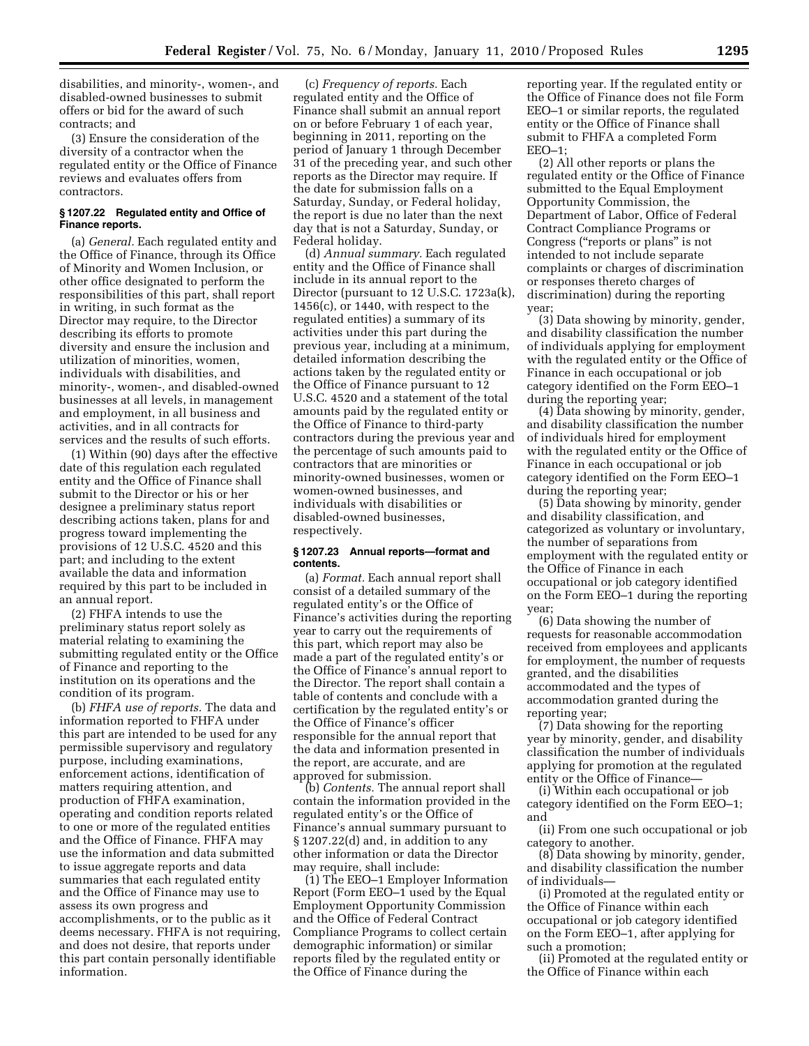disabilities, and minority-, women-, and disabled-owned businesses to submit offers or bid for the award of such contracts; and

(3) Ensure the consideration of the diversity of a contractor when the regulated entity or the Office of Finance reviews and evaluates offers from contractors.

#### **§ 1207.22 Regulated entity and Office of Finance reports.**

(a) *General.* Each regulated entity and the Office of Finance, through its Office of Minority and Women Inclusion, or other office designated to perform the responsibilities of this part, shall report in writing, in such format as the Director may require, to the Director describing its efforts to promote diversity and ensure the inclusion and utilization of minorities, women, individuals with disabilities, and minority-, women-, and disabled-owned businesses at all levels, in management and employment, in all business and activities, and in all contracts for services and the results of such efforts.

(1) Within (90) days after the effective date of this regulation each regulated entity and the Office of Finance shall submit to the Director or his or her designee a preliminary status report describing actions taken, plans for and progress toward implementing the provisions of 12 U.S.C. 4520 and this part; and including to the extent available the data and information required by this part to be included in an annual report.

(2) FHFA intends to use the preliminary status report solely as material relating to examining the submitting regulated entity or the Office of Finance and reporting to the institution on its operations and the condition of its program.

(b) *FHFA use of reports.* The data and information reported to FHFA under this part are intended to be used for any permissible supervisory and regulatory purpose, including examinations, enforcement actions, identification of matters requiring attention, and production of FHFA examination, operating and condition reports related to one or more of the regulated entities and the Office of Finance. FHFA may use the information and data submitted to issue aggregate reports and data summaries that each regulated entity and the Office of Finance may use to assess its own progress and accomplishments, or to the public as it deems necessary. FHFA is not requiring, and does not desire, that reports under this part contain personally identifiable information.

(c) *Frequency of reports.* Each regulated entity and the Office of Finance shall submit an annual report on or before February 1 of each year, beginning in 2011, reporting on the period of January 1 through December 31 of the preceding year, and such other reports as the Director may require. If the date for submission falls on a Saturday, Sunday, or Federal holiday, the report is due no later than the next day that is not a Saturday, Sunday, or Federal holiday.

(d) *Annual summary.* Each regulated entity and the Office of Finance shall include in its annual report to the Director (pursuant to 12 U.S.C. 1723a(k), 1456(c), or 1440, with respect to the regulated entities) a summary of its activities under this part during the previous year, including at a minimum, detailed information describing the actions taken by the regulated entity or the Office of Finance pursuant to 12 U.S.C. 4520 and a statement of the total amounts paid by the regulated entity or the Office of Finance to third-party contractors during the previous year and the percentage of such amounts paid to contractors that are minorities or minority-owned businesses, women or women-owned businesses, and individuals with disabilities or disabled-owned businesses, respectively.

## **§ 1207.23 Annual reports—format and contents.**

(a) *Format.* Each annual report shall consist of a detailed summary of the regulated entity's or the Office of Finance's activities during the reporting year to carry out the requirements of this part, which report may also be made a part of the regulated entity's or the Office of Finance's annual report to the Director. The report shall contain a table of contents and conclude with a certification by the regulated entity's or the Office of Finance's officer responsible for the annual report that the data and information presented in the report, are accurate, and are approved for submission.

(b) *Contents.* The annual report shall contain the information provided in the regulated entity's or the Office of Finance's annual summary pursuant to § 1207.22(d) and, in addition to any other information or data the Director may require, shall include:

(1) The EEO–1 Employer Information Report (Form EEO–1 used by the Equal Employment Opportunity Commission and the Office of Federal Contract Compliance Programs to collect certain demographic information) or similar reports filed by the regulated entity or the Office of Finance during the

reporting year. If the regulated entity or the Office of Finance does not file Form EEO–1 or similar reports, the regulated entity or the Office of Finance shall submit to FHFA a completed Form EEO–1;

(2) All other reports or plans the regulated entity or the Office of Finance submitted to the Equal Employment Opportunity Commission, the Department of Labor, Office of Federal Contract Compliance Programs or Congress ("reports or plans" is not intended to not include separate complaints or charges of discrimination or responses thereto charges of discrimination) during the reporting year;

(3) Data showing by minority, gender, and disability classification the number of individuals applying for employment with the regulated entity or the Office of Finance in each occupational or job category identified on the Form EEO–1 during the reporting year;

(4) Data showing by minority, gender, and disability classification the number of individuals hired for employment with the regulated entity or the Office of Finance in each occupational or job category identified on the Form EEO–1 during the reporting year;

(5) Data showing by minority, gender and disability classification, and categorized as voluntary or involuntary, the number of separations from employment with the regulated entity or the Office of Finance in each occupational or job category identified on the Form EEO–1 during the reporting year;

(6) Data showing the number of requests for reasonable accommodation received from employees and applicants for employment, the number of requests granted, and the disabilities accommodated and the types of accommodation granted during the reporting year;

(7) Data showing for the reporting year by minority, gender, and disability classification the number of individuals applying for promotion at the regulated entity or the Office of Finance—

(i) Within each occupational or job category identified on the Form EEO–1; and

(ii) From one such occupational or job category to another.

(8) Data showing by minority, gender, and disability classification the number of individuals—

(i) Promoted at the regulated entity or the Office of Finance within each occupational or job category identified on the Form EEO–1, after applying for such a promotion;

(ii) Promoted at the regulated entity or the Office of Finance within each